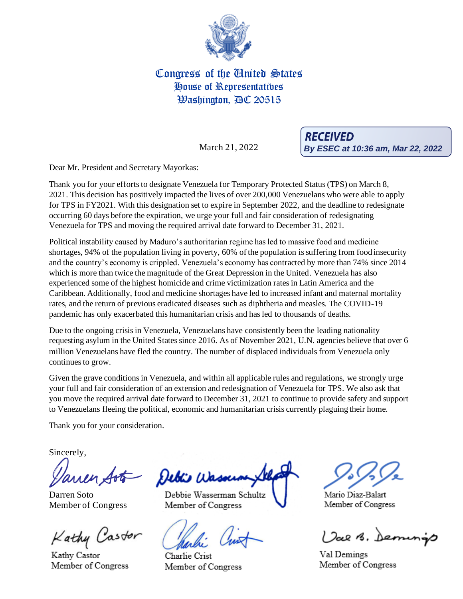

## Congress of the United States House of Representatives Washington, AC 20515

March 21, 2022

**RECEIVED By ESEC at 10:36 am, Mar 22, 2022**

Dear Mr. President and Secretary Mayorkas:

Thank you for your efforts to designate Venezuela for Temporary Protected Status (TPS) on March 8, 2021. This decision has positively impacted the lives of over 200,000 Venezuelans who were able to apply for TPS in FY2021. With this designation set to expire in September 2022, and the deadline to redesignate occurring 60 days before the expiration, we urge your full and fair consideration of redesignating Venezuela for TPS and moving the required arrival date forward to December 31, 2021.

Political instability caused by Maduro's authoritarian regime has led to massive food and medicine shortages, 94% of the population living in poverty, 60% of the population is suffering from food insecurity and the country's economy is crippled. Venezuela's economy has contracted by more than 74% since 2014 which is more than twice the magnitude of the Great Depression in the United. Venezuela has also experienced some of the highest homicide and crime victimization rates in Latin America and the Caribbean. Additionally, food and medicine shortages have led to increased infant and maternal mortality rates, and the return of previous eradicated diseases such as diphtheria and measles. The COVID-19 pandemic has only exacerbated this humanitarian crisis and has led to thousands of deaths.

Due to the ongoing crisis in Venezuela, Venezuelans have consistently been the leading nationality requesting asylum in the United States since 2016. As of November 2021, U.N. agencies believe that over 6 million Venezuelans have fled the country. The number of displaced individuals from Venezuela only continues to grow.

Given the grave conditions in Venezuela, and within all applicable rules and regulations, we strongly urge your full and fair consideration of an extension and redesignation of Venezuela for TPS. We also ask that you move the required arrival date forward to December 31, 2021 to continue to provide safety and support to Venezuelans fleeing the political, economic and humanitarian crisis currently plaguing their home.

Thank you for your consideration.

Sincerely,

Darren Soto Member of Congress

Kathy Castor

Kathy Castor Member of Congress

Debis W

Debbie Wasserman Schultz Member of Congress

Charlie Crist Member of Congress

Mario Diaz-Balart Member of Congress

Val B. Demings

Val Demings Member of Congress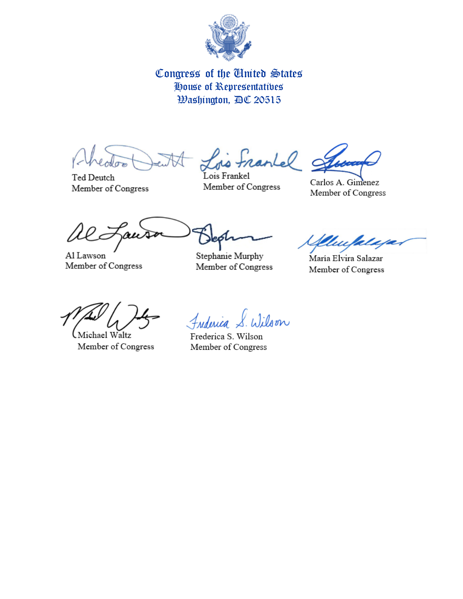

## Congress of the United States House of Representatives **Washington, AC 20515**

Carlos A. Gimenez Member of Congress

Ted Deutch Member of Congress

Lois Frankel Member of Congress

Al Lawson Member of Congress

Stephanie Murphy Member of Congress

Uu

María Elvira Salazar Member of Congress

Michael Waltz.

Member of Congress

Wilson Frederica

Frederica S. Wilson Member of Congress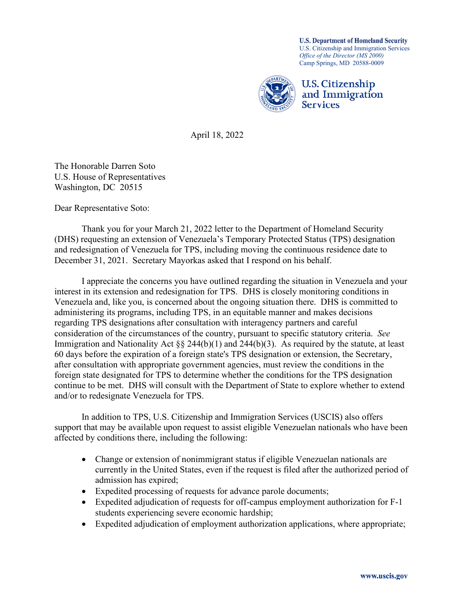**U.S. Department of Homeland Security** U.S. Citizenship and Immigration Services *Office of the Director (MS 2000)* Camp Springs, MD 20588-0009



April 18, 2022

The Honorable Darren Soto U.S. House of Representatives Washington, DC 20515

Dear Representative Soto:

Thank you for your March 21, 2022 letter to the Department of Homeland Security (DHS) requesting an extension of Venezuela's Temporary Protected Status (TPS) designation and redesignation of Venezuela for TPS, including moving the continuous residence date to December 31, 2021. Secretary Mayorkas asked that I respond on his behalf.

I appreciate the concerns you have outlined regarding the situation in Venezuela and your interest in its extension and redesignation for TPS. DHS is closely monitoring conditions in Venezuela and, like you, is concerned about the ongoing situation there. DHS is committed to administering its programs, including TPS, in an equitable manner and makes decisions regarding TPS designations after consultation with interagency partners and careful consideration of the circumstances of the country, pursuant to specific statutory criteria. *See* Immigration and Nationality Act §§ 244(b)(1) and 244(b)(3). As required by the statute, at least 60 days before the expiration of a foreign state's TPS designation or extension, the Secretary, after consultation with appropriate government agencies, must review the conditions in the foreign state designated for TPS to determine whether the conditions for the TPS designation continue to be met. DHS will consult with the Department of State to explore whether to extend and/or to redesignate Venezuela for TPS.

In addition to TPS, U.S. Citizenship and Immigration Services (USCIS) also offers support that may be available upon request to assist eligible Venezuelan nationals who have been affected by conditions there, including the following:

- Change or extension of nonimmigrant status if eligible Venezuelan nationals are currently in the United States, even if the request is filed after the authorized period of admission has expired;
- Expedited processing of requests for advance parole documents;
- Expedited adjudication of requests for off-campus employment authorization for F-1 students experiencing severe economic hardship;
- Expedited adjudication of employment authorization applications, where appropriate;